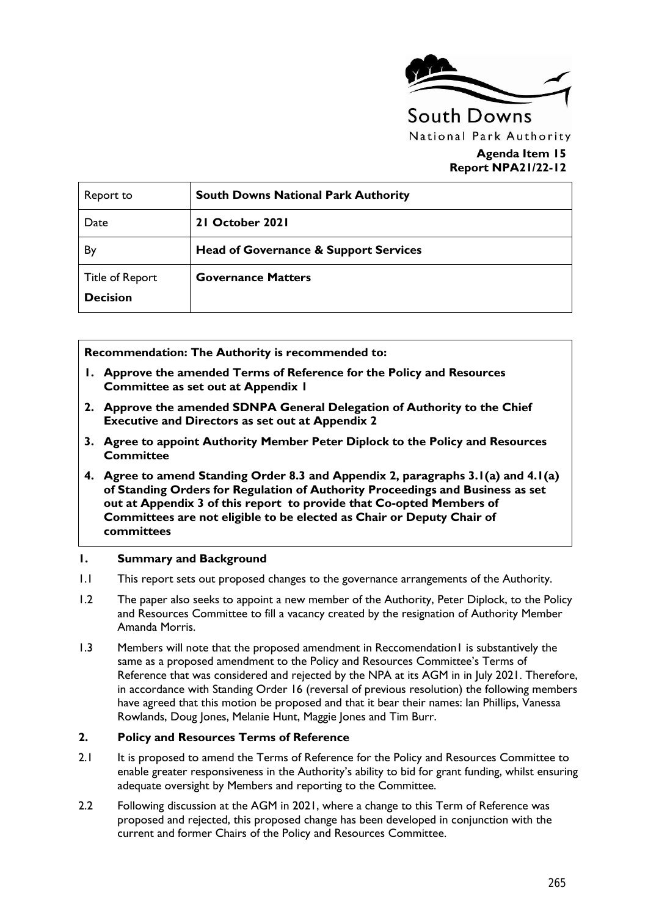

#### **Agenda Item 15 Report NPA21/22-12**

| Report to                                 | <b>South Downs National Park Authority</b>       |
|-------------------------------------------|--------------------------------------------------|
| Date                                      | 21 October 2021                                  |
| By                                        | <b>Head of Governance &amp; Support Services</b> |
| <b>Title of Report</b><br><b>Decision</b> | <b>Governance Matters</b>                        |

**Recommendation: The Authority is recommended to:** 

- **1. Approve the amended Terms of Reference for the Policy and Resources Committee as set out at Appendix 1**
- **2. Approve the amended SDNPA General Delegation of Authority to the Chief Executive and Directors as set out at Appendix 2**
- **3. Agree to appoint Authority Member Peter Diplock to the Policy and Resources Committee**
- **4. Agree to amend Standing Order 8.3 and Appendix 2, paragraphs 3.1(a) and 4.1(a) of Standing Orders for Regulation of Authority Proceedings and Business as set out at Appendix 3 of this report to provide that Co-opted Members of Committees are not eligible to be elected as Chair or Deputy Chair of committees**

#### **1. Summary and Background**

- 1.1 This report sets out proposed changes to the governance arrangements of the Authority.
- 1.2 The paper also seeks to appoint a new member of the Authority, Peter Diplock, to the Policy and Resources Committee to fill a vacancy created by the resignation of Authority Member Amanda Morris.
- 1.3 Members will note that the proposed amendment in Reccomendation1 is substantively the same as a proposed amendment to the Policy and Resources Committee's Terms of Reference that was considered and rejected by the NPA at its AGM in in July 2021. Therefore, in accordance with Standing Order 16 (reversal of previous resolution) the following members have agreed that this motion be proposed and that it bear their names: Ian Phillips, Vanessa Rowlands, Doug Jones, Melanie Hunt, Maggie Jones and Tim Burr.

#### **2. Policy and Resources Terms of Reference**

- 2.1 It is proposed to amend the Terms of Reference for the Policy and Resources Committee to enable greater responsiveness in the Authority's ability to bid for grant funding, whilst ensuring adequate oversight by Members and reporting to the Committee.
- 2.2 Following discussion at the AGM in 2021, where a change to this Term of Reference was proposed and rejected, this proposed change has been developed in conjunction with the current and former Chairs of the Policy and Resources Committee.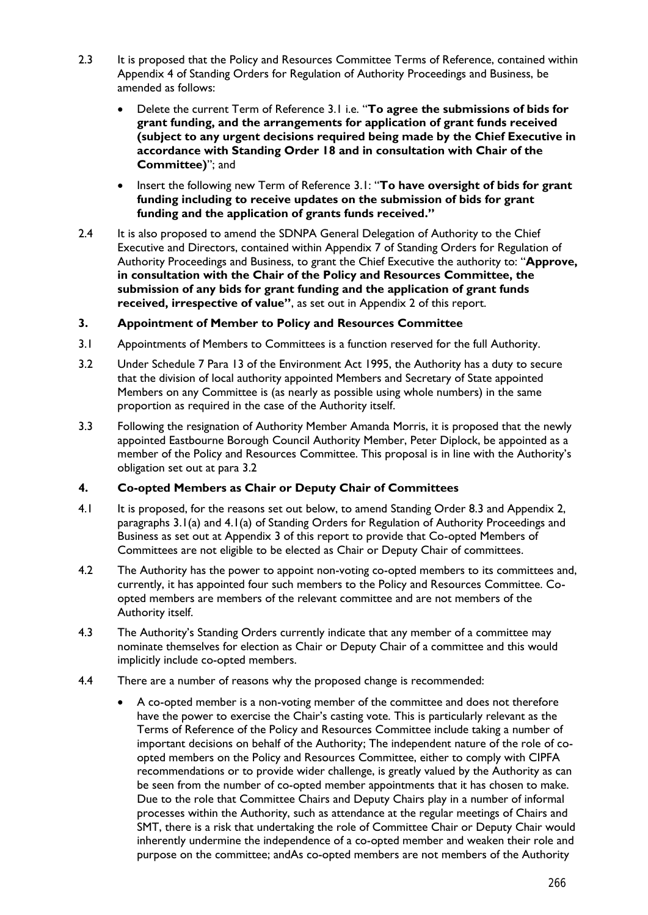- 2.3 It is proposed that the Policy and Resources Committee Terms of Reference, contained within Appendix 4 of Standing Orders for Regulation of Authority Proceedings and Business, be amended as follows:
	- Delete the current Term of Reference 3.1 i.e. "**To agree the submissions of bids for grant funding, and the arrangements for application of grant funds received (subject to any urgent decisions required being made by the Chief Executive in accordance with Standing Order 18 and in consultation with Chair of the Committee)**"; and
	- Insert the following new Term of Reference 3.1: "**To have oversight of bids for grant funding including to receive updates on the submission of bids for grant funding and the application of grants funds received."**
- 2.4 It is also proposed to amend the SDNPA General Delegation of Authority to the Chief Executive and Directors, contained within Appendix 7 of Standing Orders for Regulation of Authority Proceedings and Business, to grant the Chief Executive the authority to: "**Approve, in consultation with the Chair of the Policy and Resources Committee, the submission of any bids for grant funding and the application of grant funds received, irrespective of value"**, as set out in Appendix 2 of this report.

#### **3. Appointment of Member to Policy and Resources Committee**

- 3.1 Appointments of Members to Committees is a function reserved for the full Authority.
- 3.2 Under Schedule 7 Para 13 of the Environment Act 1995, the Authority has a duty to secure that the division of local authority appointed Members and Secretary of State appointed Members on any Committee is (as nearly as possible using whole numbers) in the same proportion as required in the case of the Authority itself.
- 3.3 Following the resignation of Authority Member Amanda Morris, it is proposed that the newly appointed Eastbourne Borough Council Authority Member, Peter Diplock, be appointed as a member of the Policy and Resources Committee. This proposal is in line with the Authority's obligation set out at para 3.2

#### **4. Co-opted Members as Chair or Deputy Chair of Committees**

- 4.1 It is proposed, for the reasons set out below, to amend Standing Order 8.3 and Appendix 2, paragraphs 3.1(a) and 4.1(a) of Standing Orders for Regulation of Authority Proceedings and Business as set out at Appendix 3 of this report to provide that Co-opted Members of Committees are not eligible to be elected as Chair or Deputy Chair of committees.
- 4.2 The Authority has the power to appoint non-voting co-opted members to its committees and, currently, it has appointed four such members to the Policy and Resources Committee. Coopted members are members of the relevant committee and are not members of the Authority itself.
- 4.3 The Authority's Standing Orders currently indicate that any member of a committee may nominate themselves for election as Chair or Deputy Chair of a committee and this would implicitly include co-opted members.
- 4.4 There are a number of reasons why the proposed change is recommended:
	- A co-opted member is a non-voting member of the committee and does not therefore have the power to exercise the Chair's casting vote. This is particularly relevant as the Terms of Reference of the Policy and Resources Committee include taking a number of important decisions on behalf of the Authority; The independent nature of the role of coopted members on the Policy and Resources Committee, either to comply with CIPFA recommendations or to provide wider challenge, is greatly valued by the Authority as can be seen from the number of co-opted member appointments that it has chosen to make. Due to the role that Committee Chairs and Deputy Chairs play in a number of informal processes within the Authority, such as attendance at the regular meetings of Chairs and SMT, there is a risk that undertaking the role of Committee Chair or Deputy Chair would inherently undermine the independence of a co-opted member and weaken their role and purpose on the committee; andAs co-opted members are not members of the Authority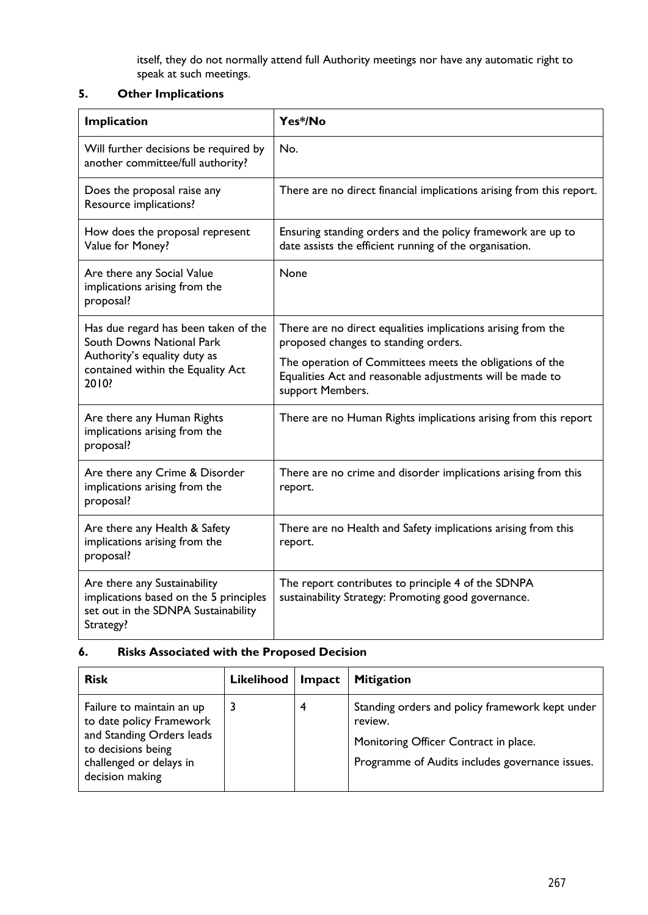itself, they do not normally attend full Authority meetings nor have any automatic right to speak at such meetings.

### **5. Other Implications**

| Implication                                                                                                                | Yes*/No                                                                                                                                   |  |  |
|----------------------------------------------------------------------------------------------------------------------------|-------------------------------------------------------------------------------------------------------------------------------------------|--|--|
| Will further decisions be required by<br>another committee/full authority?                                                 | No.                                                                                                                                       |  |  |
| Does the proposal raise any<br>Resource implications?                                                                      | There are no direct financial implications arising from this report.                                                                      |  |  |
| How does the proposal represent<br>Value for Money?                                                                        | Ensuring standing orders and the policy framework are up to<br>date assists the efficient running of the organisation.                    |  |  |
| Are there any Social Value<br>implications arising from the<br>proposal?                                                   | None                                                                                                                                      |  |  |
| Has due regard has been taken of the<br>South Downs National Park                                                          | There are no direct equalities implications arising from the<br>proposed changes to standing orders.                                      |  |  |
| Authority's equality duty as<br>contained within the Equality Act<br>2010?                                                 | The operation of Committees meets the obligations of the<br>Equalities Act and reasonable adjustments will be made to<br>support Members. |  |  |
| Are there any Human Rights<br>implications arising from the<br>proposal?                                                   | There are no Human Rights implications arising from this report                                                                           |  |  |
| Are there any Crime & Disorder<br>implications arising from the<br>proposal?                                               | There are no crime and disorder implications arising from this<br>report.                                                                 |  |  |
| Are there any Health & Safety<br>implications arising from the<br>proposal?                                                | There are no Health and Safety implications arising from this<br>report.                                                                  |  |  |
| Are there any Sustainability<br>implications based on the 5 principles<br>set out in the SDNPA Sustainability<br>Strategy? | The report contributes to principle 4 of the SDNPA<br>sustainability Strategy: Promoting good governance.                                 |  |  |

### **6. Risks Associated with the Proposed Decision**

| <b>Risk</b>                                                                                                                                            | <b>Likelihood</b> | <b>Impact</b> | <b>Mitigation</b>                                                                                                                                      |
|--------------------------------------------------------------------------------------------------------------------------------------------------------|-------------------|---------------|--------------------------------------------------------------------------------------------------------------------------------------------------------|
| Failure to maintain an up<br>to date policy Framework<br>and Standing Orders leads<br>to decisions being<br>challenged or delays in<br>decision making |                   | 4             | Standing orders and policy framework kept under<br>review.<br>Monitoring Officer Contract in place.<br>Programme of Audits includes governance issues. |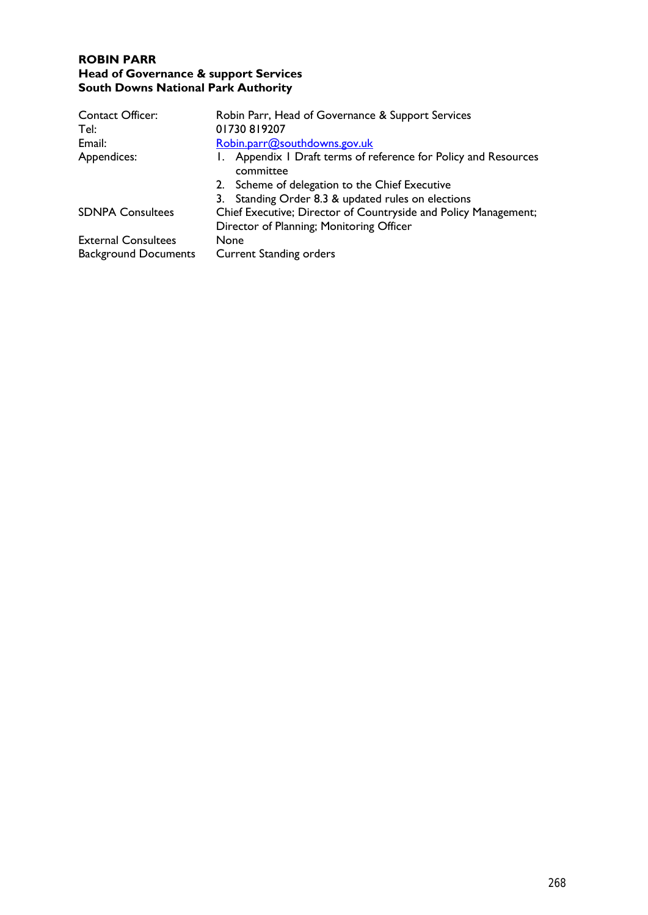### **ROBIN PARR Head of Governance & support Services** **South Downs National Park Authority**

| <b>Contact Officer:</b>     | Robin Parr, Head of Governance & Support Services                            |  |  |
|-----------------------------|------------------------------------------------------------------------------|--|--|
| Tel:                        | 01730819207                                                                  |  |  |
| Email:                      | Robin.parr@southdowns.gov.uk                                                 |  |  |
| Appendices:                 | 1. Appendix 1 Draft terms of reference for Policy and Resources<br>committee |  |  |
|                             | 2. Scheme of delegation to the Chief Executive                               |  |  |
|                             | 3. Standing Order 8.3 & updated rules on elections                           |  |  |
| <b>SDNPA Consultees</b>     | Chief Executive; Director of Countryside and Policy Management;              |  |  |
|                             | Director of Planning; Monitoring Officer                                     |  |  |
| <b>External Consultees</b>  | None                                                                         |  |  |
| <b>Background Documents</b> | <b>Current Standing orders</b>                                               |  |  |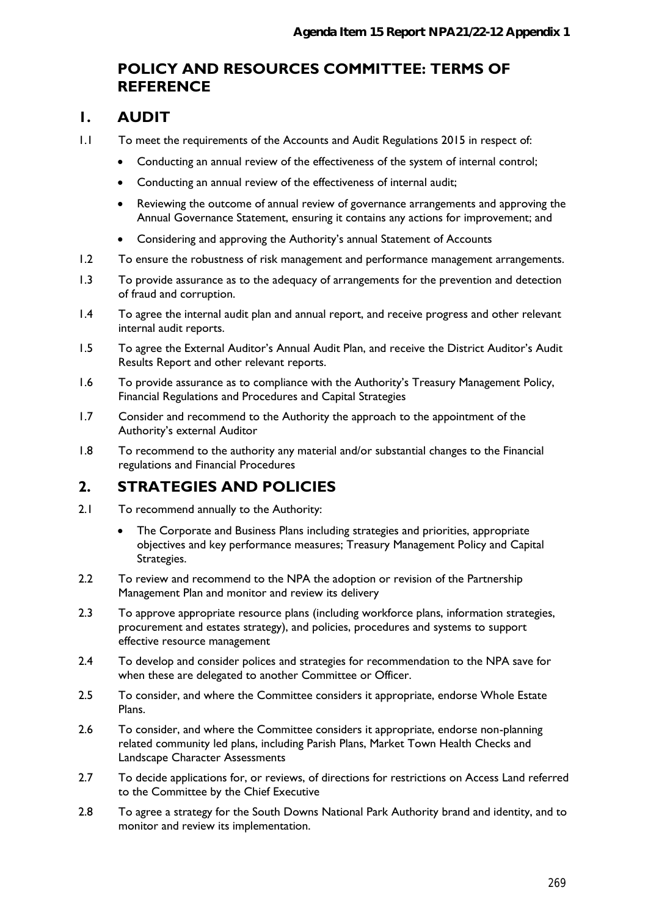## **POLICY AND RESOURCES COMMITTEE: TERMS OF REFERENCE**

### **1. AUDIT**

- 1.1 To meet the requirements of the Accounts and Audit Regulations 2015 in respect of:
	- Conducting an annual review of the effectiveness of the system of internal control;
	- Conducting an annual review of the effectiveness of internal audit;
	- Reviewing the outcome of annual review of governance arrangements and approving the Annual Governance Statement, ensuring it contains any actions for improvement; and
	- Considering and approving the Authority's annual Statement of Accounts
- 1.2 To ensure the robustness of risk management and performance management arrangements.
- 1.3 To provide assurance as to the adequacy of arrangements for the prevention and detection of fraud and corruption.
- 1.4 To agree the internal audit plan and annual report, and receive progress and other relevant internal audit reports.
- 1.5 To agree the External Auditor's Annual Audit Plan, and receive the District Auditor's Audit Results Report and other relevant reports.
- 1.6 To provide assurance as to compliance with the Authority's Treasury Management Policy, Financial Regulations and Procedures and Capital Strategies
- 1.7 Consider and recommend to the Authority the approach to the appointment of the Authority's external Auditor
- 1.8 To recommend to the authority any material and/or substantial changes to the Financial regulations and Financial Procedures

## **2. STRATEGIES AND POLICIES**

- 2.1 To recommend annually to the Authority:
	- The Corporate and Business Plans including strategies and priorities, appropriate objectives and key performance measures; Treasury Management Policy and Capital Strategies.
- 2.2 To review and recommend to the NPA the adoption or revision of the Partnership Management Plan and monitor and review its delivery
- 2.3 To approve appropriate resource plans (including workforce plans, information strategies, procurement and estates strategy), and policies, procedures and systems to support effective resource management
- 2.4 To develop and consider polices and strategies for recommendation to the NPA save for when these are delegated to another Committee or Officer.
- 2.5 To consider, and where the Committee considers it appropriate, endorse Whole Estate Plans.
- 2.6 To consider, and where the Committee considers it appropriate, endorse non-planning related community led plans, including Parish Plans, Market Town Health Checks and Landscape Character Assessments
- 2.7 To decide applications for, or reviews, of directions for restrictions on Access Land referred to the Committee by the Chief Executive
- 2.8 To agree a strategy for the South Downs National Park Authority brand and identity, and to monitor and review its implementation.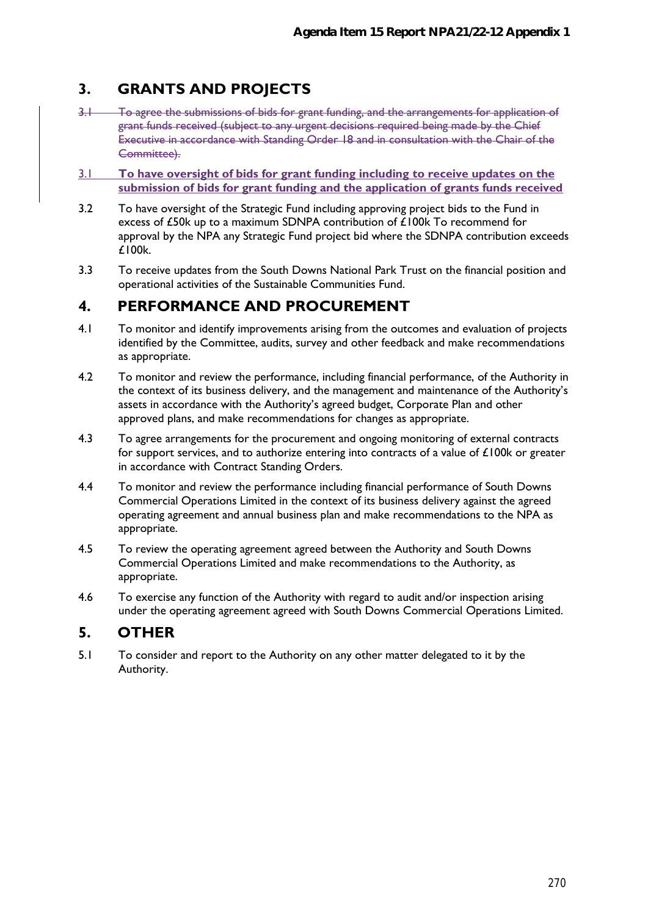# **3. GRANTS AND PROJECTS**

- 3.1 To agree the submissions of bids for grant funding, and the arrangements for application of grant funds received (subject to any urgent decisions required being made by the Chief Executive in accordance with Standing Order 18 and in consultation with the Chair of the Committee).
- 3.1 **To have oversight of bids for grant funding including to receive updates on the submission of bids for grant funding and the application of grants funds received**
- 3.2 To have oversight of the Strategic Fund including approving project bids to the Fund in excess of £50k up to a maximum SDNPA contribution of £100k To recommend for approval by the NPA any Strategic Fund project bid where the SDNPA contribution exceeds £100k.
- 3.3 To receive updates from the South Downs National Park Trust on the financial position and operational activities of the Sustainable Communities Fund.

## **4. PERFORMANCE AND PROCUREMENT**

- 4.1 To monitor and identify improvements arising from the outcomes and evaluation of projects identified by the Committee, audits, survey and other feedback and make recommendations as appropriate.
- 4.2 To monitor and review the performance, including financial performance, of the Authority in the context of its business delivery, and the management and maintenance of the Authority's assets in accordance with the Authority's agreed budget, Corporate Plan and other approved plans, and make recommendations for changes as appropriate.
- 4.3 To agree arrangements for the procurement and ongoing monitoring of external contracts for support services, and to authorize entering into contracts of a value of £100k or greater in accordance with Contract Standing Orders.
- 4.4 To monitor and review the performance including financial performance of South Downs Commercial Operations Limited in the context of its business delivery against the agreed operating agreement and annual business plan and make recommendations to the NPA as appropriate.
- 4.5 To review the operating agreement agreed between the Authority and South Downs Commercial Operations Limited and make recommendations to the Authority, as appropriate.
- 4.6 To exercise any function of the Authority with regard to audit and/or inspection arising under the operating agreement agreed with South Downs Commercial Operations Limited.

### **5. OTHER**

5.1 To consider and report to the Authority on any other matter delegated to it by the Authority.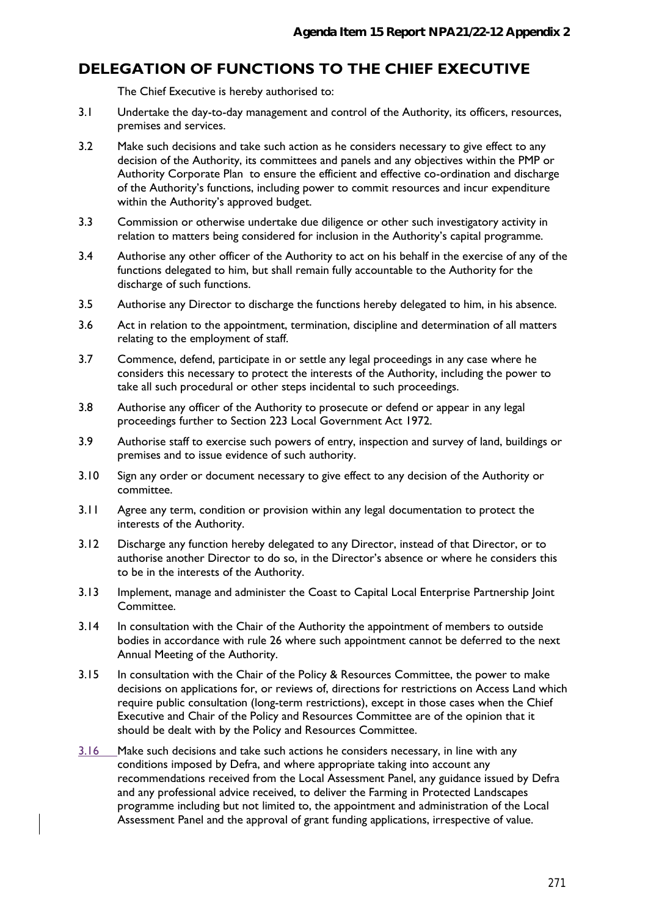## **DELEGATION OF FUNCTIONS TO THE CHIEF EXECUTIVE**

The Chief Executive is hereby authorised to:

- 3.1 Undertake the day-to-day management and control of the Authority, its officers, resources, premises and services.
- 3.2 Make such decisions and take such action as he considers necessary to give effect to any decision of the Authority, its committees and panels and any objectives within the PMP or Authority Corporate Plan to ensure the efficient and effective co-ordination and discharge of the Authority's functions, including power to commit resources and incur expenditure within the Authority's approved budget.
- 3.3 Commission or otherwise undertake due diligence or other such investigatory activity in relation to matters being considered for inclusion in the Authority's capital programme.
- 3.4 Authorise any other officer of the Authority to act on his behalf in the exercise of any of the functions delegated to him, but shall remain fully accountable to the Authority for the discharge of such functions.
- 3.5 Authorise any Director to discharge the functions hereby delegated to him, in his absence.
- 3.6 Act in relation to the appointment, termination, discipline and determination of all matters relating to the employment of staff.
- 3.7 Commence, defend, participate in or settle any legal proceedings in any case where he considers this necessary to protect the interests of the Authority, including the power to take all such procedural or other steps incidental to such proceedings.
- 3.8 Authorise any officer of the Authority to prosecute or defend or appear in any legal proceedings further to Section 223 Local Government Act 1972.
- 3.9 Authorise staff to exercise such powers of entry, inspection and survey of land, buildings or premises and to issue evidence of such authority.
- 3.10 Sign any order or document necessary to give effect to any decision of the Authority or committee.
- 3.11 Agree any term, condition or provision within any legal documentation to protect the interests of the Authority.
- 3.12 Discharge any function hereby delegated to any Director, instead of that Director, or to authorise another Director to do so, in the Director's absence or where he considers this to be in the interests of the Authority.
- 3.13 Implement, manage and administer the Coast to Capital Local Enterprise Partnership Joint Committee.
- 3.14 In consultation with the Chair of the Authority the appointment of members to outside bodies in accordance with rule 26 where such appointment cannot be deferred to the next Annual Meeting of the Authority.
- 3.15 In consultation with the Chair of the Policy & Resources Committee, the power to make decisions on applications for, or reviews of, directions for restrictions on Access Land which require public consultation (long-term restrictions), except in those cases when the Chief Executive and Chair of the Policy and Resources Committee are of the opinion that it should be dealt with by the Policy and Resources Committee.
- 3.16 Make such decisions and take such actions he considers necessary, in line with any conditions imposed by Defra, and where appropriate taking into account any recommendations received from the Local Assessment Panel, any guidance issued by Defra and any professional advice received, to deliver the Farming in Protected Landscapes programme including but not limited to, the appointment and administration of the Local Assessment Panel and the approval of grant funding applications, irrespective of value.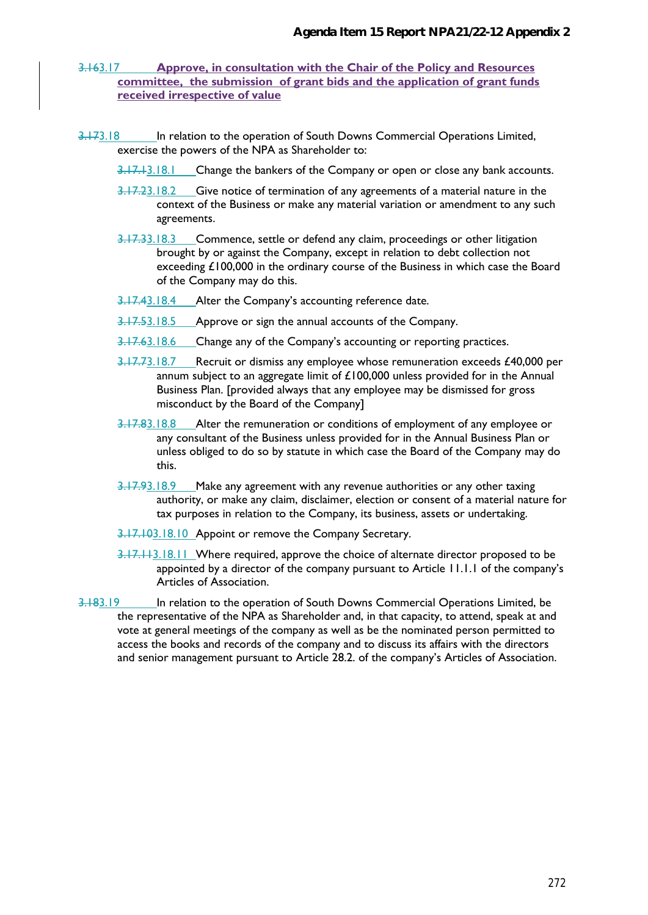#### 3.163.17 **Approve, in consultation with the Chair of the Policy and Resources committee, the submission of grant bids and the application of grant funds received irrespective of value**

- 3.173.18 In relation to the operation of South Downs Commercial Operations Limited, exercise the powers of the NPA as Shareholder to:
	- 3.17.13.18.1 Change the bankers of the Company or open or close any bank accounts.
	- 3.17.23.18.2 Give notice of termination of any agreements of a material nature in the context of the Business or make any material variation or amendment to any such agreements.
	- 3.17.33.18.3 Commence, settle or defend any claim, proceedings or other litigation brought by or against the Company, except in relation to debt collection not exceeding £100,000 in the ordinary course of the Business in which case the Board of the Company may do this.
	- 3.17.43.18.4 Alter the Company's accounting reference date.
	- 3.17.53.18.5 Approve or sign the annual accounts of the Company.
	- 3.17.63.18.6 Change any of the Company's accounting or reporting practices.
	- 3.17.73.18.7 Recruit or dismiss any employee whose remuneration exceeds £40,000 per annum subject to an aggregate limit of £100,000 unless provided for in the Annual Business Plan. [provided always that any employee may be dismissed for gross misconduct by the Board of the Company]
	- 3.17.83.18.8 Alter the remuneration or conditions of employment of any employee or any consultant of the Business unless provided for in the Annual Business Plan or unless obliged to do so by statute in which case the Board of the Company may do this.
	- 3.17.93.18.9 Make any agreement with any revenue authorities or any other taxing authority, or make any claim, disclaimer, election or consent of a material nature for tax purposes in relation to the Company, its business, assets or undertaking.
	- 3.17.103.18.10 Appoint or remove the Company Secretary.
	- 3.17.113.18.11 Where required, approve the choice of alternate director proposed to be appointed by a director of the company pursuant to Article 11.1.1 of the company's Articles of Association.
- 3.183.19 In relation to the operation of South Downs Commercial Operations Limited, be the representative of the NPA as Shareholder and, in that capacity, to attend, speak at and vote at general meetings of the company as well as be the nominated person permitted to access the books and records of the company and to discuss its affairs with the directors and senior management pursuant to Article 28.2. of the company's Articles of Association.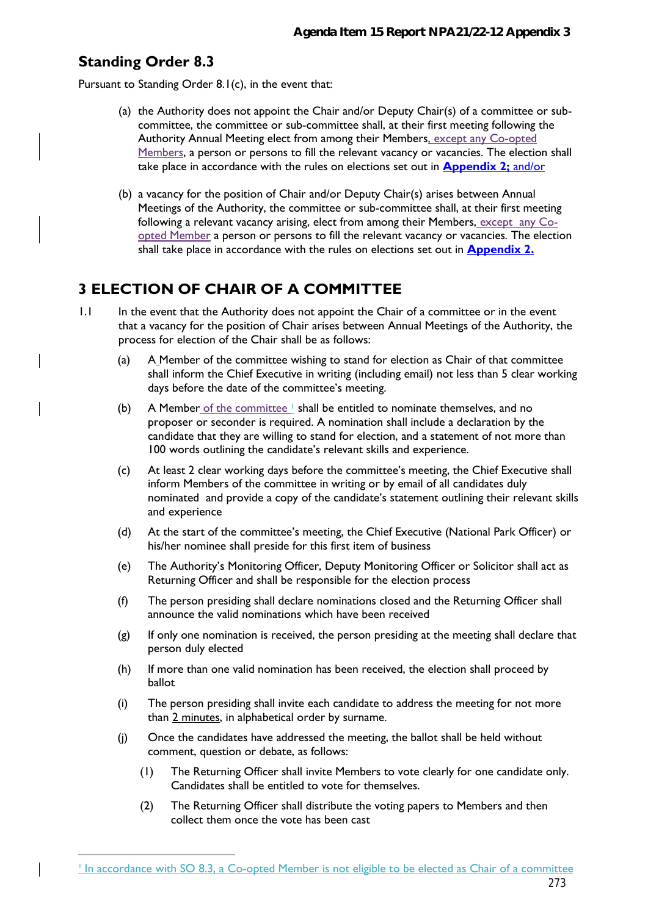## **Standing Order 8.3**

<u>.</u>

Pursuant to Standing Order 8.1(c), in the event that:

- (a) the Authority does not appoint the Chair and/or Deputy Chair(s) of a committee or subcommittee, the committee or sub-committee shall, at their first meeting following the Authority Annual Meeting elect from among their Members, except any Co-opted Members, a person or persons to fill the relevant vacancy or vacancies. The election shall take place in accordance with the rules on elections set out in **Appendix 2;** and/or
- (b) a vacancy for the position of Chair and/or Deputy Chair(s) arises between Annual Meetings of the Authority, the committee or sub-committee shall, at their first meeting following a relevant vacancy arising, elect from among their Members, except any Coopted Member a person or persons to fill the relevant vacancy or vacancies*.* The election shall take place in accordance with the rules on elections set out in **Appendix 2.**

## **3 ELECTION OF CHAIR OF A COMMITTEE**

- 1.1 In the event that the Authority does not appoint the Chair of a committee or in the event that a vacancy for the position of Chair arises between Annual Meetings of the Authority, the process for election of the Chair shall be as follows:
	- (a) A Member of the committee wishing to stand for election as Chair of that committee shall inform the Chief Executive in writing (including email) not less than 5 clear working days before the date of the committee's meeting.
	- (b) A Member of the committee  $\perp$  shall be entitled to nominate themselves, and no proposer or seconder is required. A nomination shall include a declaration by the candidate that they are willing to stand for election, and a statement of not more than 100 words outlining the candidate's relevant skills and experience.
	- (c) At least 2 clear working days before the committee's meeting, the Chief Executive shall inform Members of the committee in writing or by email of all candidates duly nominated and provide a copy of the candidate's statement outlining their relevant skills and experience
	- (d) At the start of the committee's meeting, the Chief Executive (National Park Officer) or his/her nominee shall preside for this first item of business
	- (e) The Authority's Monitoring Officer, Deputy Monitoring Officer or Solicitor shall act as Returning Officer and shall be responsible for the election process
	- (f) The person presiding shall declare nominations closed and the Returning Officer shall announce the valid nominations which have been received
	- (g) If only one nomination is received, the person presiding at the meeting shall declare that person duly elected
	- (h) If more than one valid nomination has been received, the election shall proceed by ballot
	- (i) The person presiding shall invite each candidate to address the meeting for not more than 2 minutes, in alphabetical order by surname.
	- (j) Once the candidates have addressed the meeting, the ballot shall be held without comment, question or debate, as follows:
		- (1) The Returning Officer shall invite Members to vote clearly for one candidate only. Candidates shall be entitled to vote for themselves.
		- (2) The Returning Officer shall distribute the voting papers to Members and then collect them once the vote has been cast

In accordance with SO 8.3, a Co-opted Member is not eligible to be elected as Chair of a committee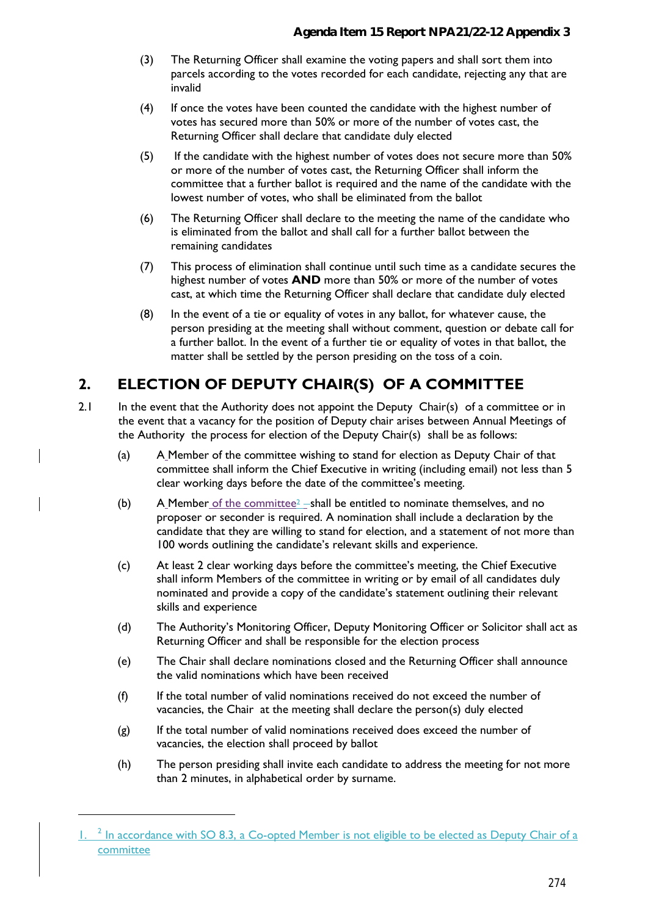- (3) The Returning Officer shall examine the voting papers and shall sort them into parcels according to the votes recorded for each candidate, rejecting any that are invalid
- (4) If once the votes have been counted the candidate with the highest number of votes has secured more than 50% or more of the number of votes cast, the Returning Officer shall declare that candidate duly elected
- (5) If the candidate with the highest number of votes does not secure more than 50% or more of the number of votes cast, the Returning Officer shall inform the committee that a further ballot is required and the name of the candidate with the lowest number of votes, who shall be eliminated from the ballot
- (6) The Returning Officer shall declare to the meeting the name of the candidate who is eliminated from the ballot and shall call for a further ballot between the remaining candidates
- (7) This process of elimination shall continue until such time as a candidate secures the highest number of votes **AND** more than 50% or more of the number of votes cast, at which time the Returning Officer shall declare that candidate duly elected
- (8) In the event of a tie or equality of votes in any ballot, for whatever cause, the person presiding at the meeting shall without comment, question or debate call for a further ballot. In the event of a further tie or equality of votes in that ballot, the matter shall be settled by the person presiding on the toss of a coin.

# **2. ELECTION OF DEPUTY CHAIR(S) OF A COMMITTEE**

- 2.1 In the event that the Authority does not appoint the Deputy Chair(s) of a committee or in the event that a vacancy for the position of Deputy chair arises between Annual Meetings of the Authority the process for election of the Deputy Chair(s) shall be as follows:
	- (a) A Member of the committee wishing to stand for election as Deputy Chair of that committee shall inform the Chief Executive in writing (including email) not less than 5 clear working days before the date of the committee's meeting.
	- (b) A Member of the committee<sup>2</sup> shall be entitled to nominate themselves, and no proposer or seconder is required. A nomination shall include a declaration by the candidate that they are willing to stand for election, and a statement of not more than 100 words outlining the candidate's relevant skills and experience.
	- (c) At least 2 clear working days before the committee's meeting, the Chief Executive shall inform Members of the committee in writing or by email of all candidates duly nominated and provide a copy of the candidate's statement outlining their relevant skills and experience
	- (d) The Authority's Monitoring Officer, Deputy Monitoring Officer or Solicitor shall act as Returning Officer and shall be responsible for the election process
	- (e) The Chair shall declare nominations closed and the Returning Officer shall announce the valid nominations which have been received
	- (f) If the total number of valid nominations received do not exceed the number of vacancies, the Chair at the meeting shall declare the person(s) duly elected
	- (g) If the total number of valid nominations received does exceed the number of vacancies, the election shall proceed by ballot
	- (h) The person presiding shall invite each candidate to address the meeting for not more than 2 minutes, in alphabetical order by surname.

<u>.</u>

<sup>1. &</sup>lt;sup>2</sup> In accordance with SO 8.3, a Co-opted Member is not eligible to be elected as Deputy Chair of a committee